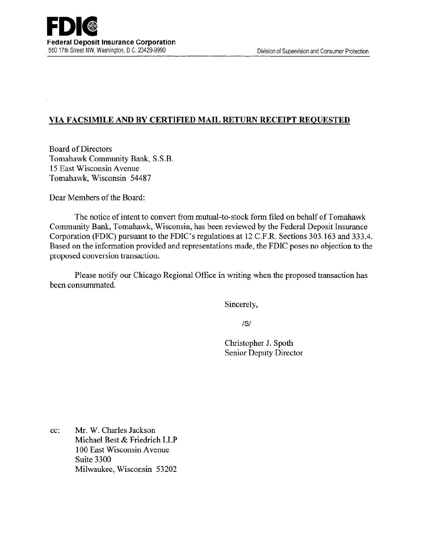# VIA FACSIMILE AND BY CERTIFIED MAIL RETURN RECEIPT REQUESTED

Board of Directors Tomahawk Community Bank, S.S.B. 15 East Wisconsin A venue Tomahawk, Wisconsin 54487

Dear Members of the Board:

The notice of intent to convert from mutual-to-stock form filed on behalf of Tomahawk Community Bank, Tomahawk, Wisconsin, has been reviewed by the Federal Deposit Insurance Corporation (FDIC) pursuant to the FDIC's regulations at 12 C.F.R. Sections 303.163 and 333.4. Based on the information provided and representations made, the FDIC poses no objection to the proposed conversion transaction.

Please notify our Chicago Regional Office in writing when the proposed transaction has been consummated.

Sincerely,

IS/

Christopher J. Spoth Senior Deputy Director

cc: Mr. W. Charles Jackson Michael Best & Friedrich LLP 1 00 East Wisconsin A venue Suite 3300 Milwaukee, Wisconsin 53202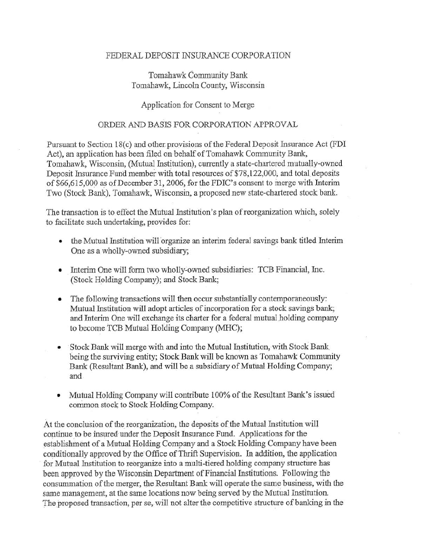#### FEDERAL DEPOSIT INSURANCE CORPORATION

## Tomahawk Community Bank Tomahawk, Lincoln County, Wisconsin

## Application for Consent to Merge

#### ORDER AND BASIS FOR CORPORATION APPROVAL

Pursuant to Section 18(c) and other provisions of the Federal Deposit Insurance Act (FDI) Act), an application has been filed on behalf of Tomahawk Community Bank, Tomahawk, Wisconsin, (Mutual Institution), currently a state-chartered mutually-owned Deposit Insurance Fund member with total resources of \$78, 122,000, and total. deposits of \$66,615,000 as of December 31, 2006, for the FDIC's consent to merge with Interim Two (Stock Bank), Tomahawk, Wisconsin, a proposed new state-chartered stock bank.

The transaction is to effect the Mutual Institution's plan of reorganization which, solely to facilitate such undertaking, provides for:

- the Mutual Institution will organize an interim federal savings bank titled Interim One as a wholly-owned subsidiary;
- Interim One will form two wholly-owned subsidiaries: TCB Financial, Inc. (Stock Holding Company); and Stock Bank;
- The following transactions will then occur substantially contemporaneously: Mutual Institution will adopt articles of incorporation for a stock savings bank; and Interim One will exchange its charter for a federal mutual holding company to become TCB Mutual Holding Company (MHC);
- Stock Bank will merge with and into the Mutual Institution, with Stock Bank being the surviving entity; Stock Bank will be known as Tomahawk Community Bank (Resultant Bank), and will be a subsidiary of Mutual Holding Company; and.
- Mutual Holding Company will contribute 100% of the Resultant Bank's issued common stock to Stock Holding Company.

At the conclusion of the reorganization, the deposits of the Mutual Institution will continue to be insured under the Deposit Insurance Fund. Applications for the establishment of a Mutual Holding Company and a Stock Holding Company have been conditionally approved by the Office of Thrift Supervision. In addition, the application for Mutual Institution to reorganize into a multi-tiered holding company structure has been approved by the Wisconsin Department of Financial Institutions. Following the consummation of the merger, the Resultant Bank will operate the same business, with the same management, at the same locations now being served by the Mutual Institution. The proposed transaction, per se, will not alter the competitive structure of banking in the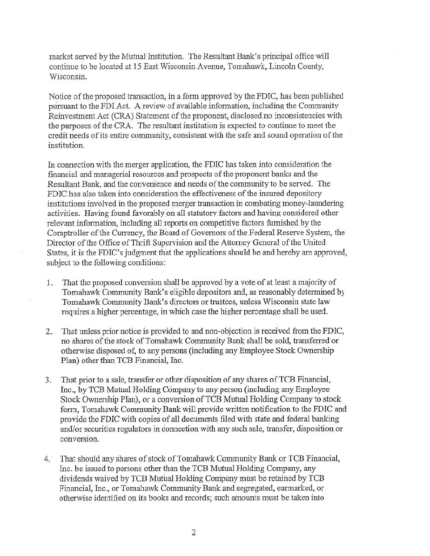market served by the Mutual Institution. The Resultant Bank's principal office will continue to be located at 15 East Wisconsin Avenue, Tomahawk, Lincoln County, Wisconsin.

Notice of the proposed transaction, in a form approved by the FDIC, has been published pursuant to the FDI Act. A review of available information, including the Community Reinvestment Act (CRA) Statement of the proponent; disclosed no inconsistencies with the purposes ofthe CRA. The resultant institution is expected to continue to meet the credit needs of its entire community, consistent with the safe and sound operation of the institution.

In connection With the merger application, the FDIC has taken into consideration the financial and managerial resources and prospects of the proponent banks and the Resultant Bank, and the convenience and needs of the community to be served. The FDIC has also taken into consideration the effectiveness of the insured depository institutions involved in the proposed merger transaction in combating money-laundering activities. Having found favorably on all statutory factors and having considered other relevant information, including all reports on competitive factors fhmished by the Comptroller of the Currency, the Board of Governors of the Federal Reserve System, the Director of the Office of Thrift Supervision and the Attorney General of the United States, it is the FDIC's judgment that the applications should be and hereby are approved, subject to the following conditions:

- 1. That the proposed conversion shall be approved by a vote of at least a majority of Tomahawk Community Bank's eligible depositors and, as reasonably determined b) Tomahawk Community Bank's directors or trustees, unless Wisconsin state law requires a higher percentage, in which case the higher percentage shall be used.
- 2. That unless prior notice is provided to and non-objection is received from the FDIC, no shares of the stock of Tomahawk Community Bank shall be sold, transferred or otherwise disposed of, to any persons (including any Employee Stock Ownership Plan) other than TCB Financial, Inc.
- 3. That prior to. a sale, transfer or other disposition of any shares ofTCB Financial, Inc., by TCB Mufual Holding Company to any person (including any Employee Stock Ownership Plan), or a conversion of TCB Mutual Holding Company to stock form, Tomahawk Community Bank will provide written notification to the FDIC and provide the FDIC with copies of all documents filed with state and federal banking and/or securities regulators in connection with any such sale, transfer, disposition or conversion.
- 4. That should any shares of stock of Tomahawk Community Bank or TCB Financial, Inc. be issued to persons other than the TCB Mutual Holding Company, any dividends waived by TCB Mutual Holding Company must be retained by TCB Financial, Inc., or Tomahawk Community Bank and segregated, earmarked, or otherwise identified on its books and records; such amounts must be taken into